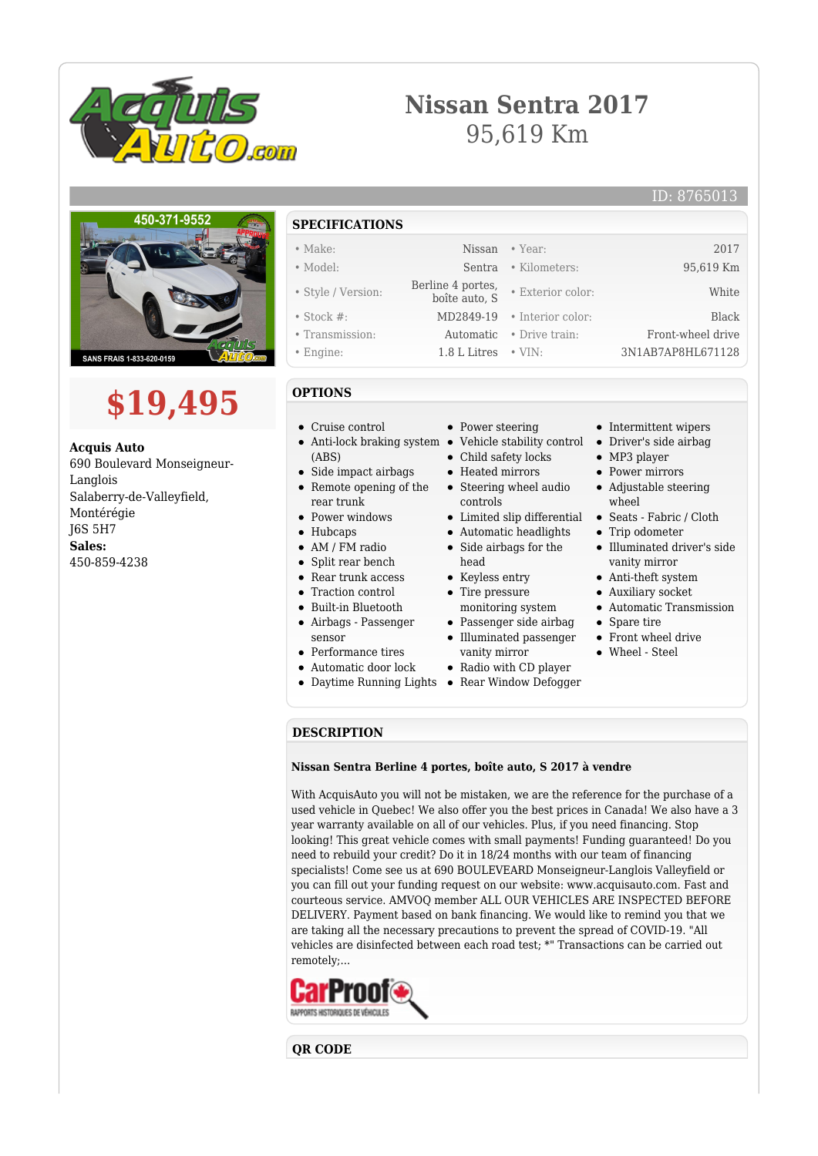

## **Nissan Sentra 2017** 95,619 Km

## ID: 8765013



## **\$19,495**

**Acquis Auto** 690 Boulevard Monseigneur-Langlois Salaberry-de-Valleyfield, Montérégie J6S 5H7 **Sales:** 450-859-4238

- **SPECIFICATIONS** • Make: 2017 Nissan • Year: 2017
- Model: Sentra Kilometers: 95,619 Km
- Style / Version: Berline 4 portes,<br>boîte auto, S
	- Stock #: MD2849-19 Interior color: Black
	- Transmission: Automatic Drive train: Front-wheel drive
	- Engine: 1.8 L Litres VIN: 3N1AB7AP8HL671128
	- **OPTIONS**
	- Cruise control
	- Anti-lock braking system Vehicle stability control (ABS)
	- Side impact airbags
	- Remote opening of the rear trunk
	- Power windows
	- Hubcaps
	- AM / FM radio
	- Split rear bench
	- Rear trunk access
	- Traction control
	- Built-in Bluetooth
	- $\bullet$ Airbags - Passenger
	- sensor
	- Performance tires
	- Automatic door lock
	-
- Power steering
- 
- Child safety locks
- Heated mirrors
- Steering wheel audio controls
- Limited slip differential
- Automatic headlights
- Side airbags for the  $\bullet$
- head • Keyless entry
- Tire pressure
- monitoring system
- Passenger side airbag  $\bullet~$  Illuminated passenger
- vanity mirror
- Radio with CD player
- Daytime Running Lights Rear Window Defogger
- Intermittent wipers
- Driver's side airbag
- MP3 player
- Power mirrors

• Exterior color: White

- Adjustable steering wheel
- Seats Fabric / Cloth
- Trip odometer
- Illuminated driver's side vanity mirror
- Anti-theft system
- Auxiliary socket
- Automatic Transmission
- Spare tire
- Front wheel drive
- Wheel Steel

**DESCRIPTION**

## **Nissan Sentra Berline 4 portes, boîte auto, S 2017 à vendre**

With AcquisAuto you will not be mistaken, we are the reference for the purchase of a used vehicle in Quebec! We also offer you the best prices in Canada! We also have a 3 year warranty available on all of our vehicles. Plus, if you need financing. Stop looking! This great vehicle comes with small payments! Funding guaranteed! Do you need to rebuild your credit? Do it in 18/24 months with our team of financing specialists! Come see us at 690 BOULEVEARD Monseigneur-Langlois Valleyfield or you can fill out your funding request on our website: www.acquisauto.com. Fast and courteous service. AMVOQ member ALL OUR VEHICLES ARE INSPECTED BEFORE DELIVERY. Payment based on bank financing. We would like to remind you that we are taking all the necessary precautions to prevent the spread of COVID-19. "All vehicles are disinfected between each road test; \*" Transactions can be carried out remotely;...



**QR CODE**